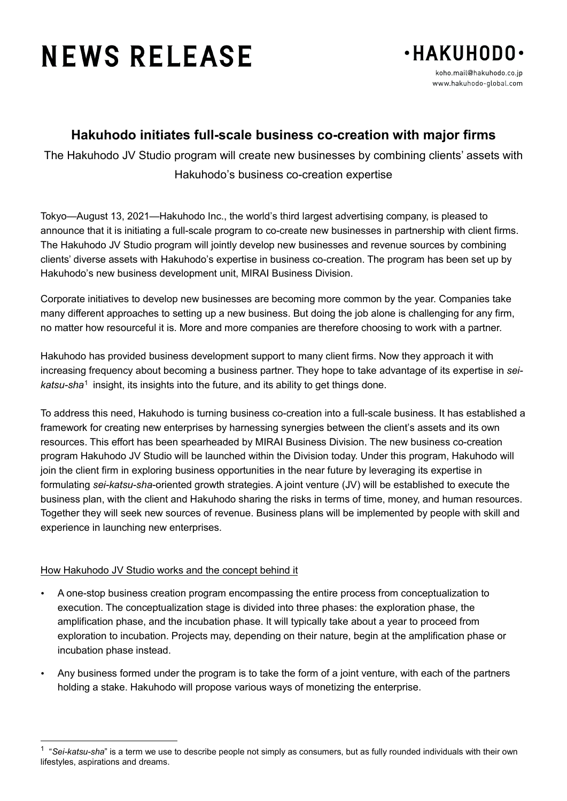# **NEWS RELEASE**



## **Hakuhodo initiates full-scale business co-creation with major firms**

The Hakuhodo JV Studio program will create new businesses by combining clients' assets with Hakuhodo's business co-creation expertise

Tokyo—August 13, 2021—Hakuhodo Inc., the world's third largest advertising company, is pleased to announce that it is initiating a full-scale program to co-create new businesses in partnership with client firms. The Hakuhodo JV Studio program will jointly develop new businesses and revenue sources by combining clients' diverse assets with Hakuhodo's expertise in business co-creation. The program has been set up by Hakuhodo's new business development unit, MIRAI Business Division.

Corporate initiatives to develop new businesses are becoming more common by the year. Companies take many different approaches to setting up a new business. But doing the job alone is challenging for any firm, no matter how resourceful it is. More and more companies are therefore choosing to work with a partner.

Hakuhodo has provided business development support to many client firms. Now they approach it with increasing frequency about becoming a business partner. They hope to take advantage of its expertise in *seikatsu-sha*[1](#page-0-0) insight, its insights into the future, and its ability to get things done.

To address this need, Hakuhodo is turning business co-creation into a full-scale business. It has established a framework for creating new enterprises by harnessing synergies between the client's assets and its own resources. This effort has been spearheaded by MIRAI Business Division. The new business co-creation program Hakuhodo JV Studio will be launched within the Division today. Under this program, Hakuhodo will join the client firm in exploring business opportunities in the near future by leveraging its expertise in formulating *sei-katsu-sha*-oriented growth strategies. A joint venture (JV) will be established to execute the business plan, with the client and Hakuhodo sharing the risks in terms of time, money, and human resources. Together they will seek new sources of revenue. Business plans will be implemented by people with skill and experience in launching new enterprises.

## How Hakuhodo JV Studio works and the concept behind it

 $\overline{a}$ 

- A one-stop business creation program encompassing the entire process from conceptualization to execution. The conceptualization stage is divided into three phases: the exploration phase, the amplification phase, and the incubation phase. It will typically take about a year to proceed from exploration to incubation. Projects may, depending on their nature, begin at the amplification phase or incubation phase instead.
- Any business formed under the program is to take the form of a joint venture, with each of the partners holding a stake. Hakuhodo will propose various ways of monetizing the enterprise.

<span id="page-0-0"></span><sup>1</sup> "*Sei-katsu-sha*" is a term we use to describe people not simply as consumers, but as fully rounded individuals with their own lifestyles, aspirations and dreams.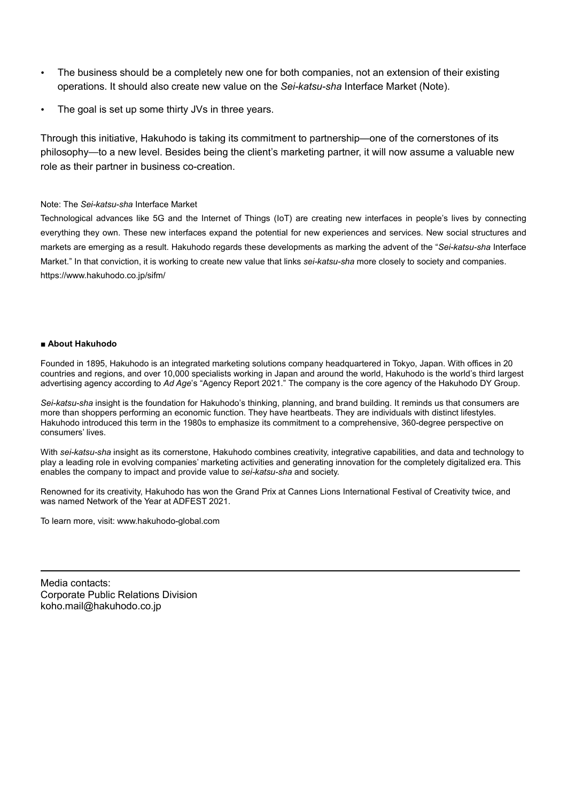- The business should be a completely new one for both companies, not an extension of their existing operations. It should also create new value on the *Sei-katsu-sha* Interface Market (Note).
- The goal is set up some thirty JVs in three years.

Through this initiative, Hakuhodo is taking its commitment to partnership—one of the cornerstones of its philosophy—to a new level. Besides being the client's marketing partner, it will now assume a valuable new role as their partner in business co-creation.

#### Note: The *Sei-katsu-sha* Interface Market

Technological advances like 5G and the Internet of Things (IoT) are creating new interfaces in people's lives by connecting everything they own. These new interfaces expand the potential for new experiences and services. New social structures and markets are emerging as a result. Hakuhodo regards these developments as marking the advent of the "*Sei-katsu-sha* Interface Market." In that conviction, it is working to create new value that links *sei-katsu-sha* more closely to society and companies. https://www.hakuhodo.co.jp/sifm/

#### ■ **About Hakuhodo**

Founded in 1895, Hakuhodo is an integrated marketing solutions company headquartered in Tokyo, Japan. With offices in 20 countries and regions, and over 10,000 specialists working in Japan and around the world, Hakuhodo is the world's third largest advertising agency according to *Ad Age*'s "Agency Report 2021." The company is the core agency of the Hakuhodo DY Group.

*Sei-katsu-sha* insight is the foundation for Hakuhodo's thinking, planning, and brand building. It reminds us that consumers are more than shoppers performing an economic function. They have heartbeats. They are individuals with distinct lifestyles. Hakuhodo introduced this term in the 1980s to emphasize its commitment to a comprehensive, 360-degree perspective on consumers' lives.

With *sei-katsu-sha* insight as its cornerstone, Hakuhodo combines creativity, integrative capabilities, and data and technology to play a leading role in evolving companies' marketing activities and generating innovation for the completely digitalized era. This enables the company to impact and provide value to *sei-katsu-sha* and society.

Renowned for its creativity, Hakuhodo has won the Grand Prix at Cannes Lions International Festival of Creativity twice, and was named Network of the Year at ADFEST 2021.

To learn more, visit: www.hakuhodo-global.com

Media contacts: Corporate Public Relations Division koho.mail@hakuhodo.co.jp